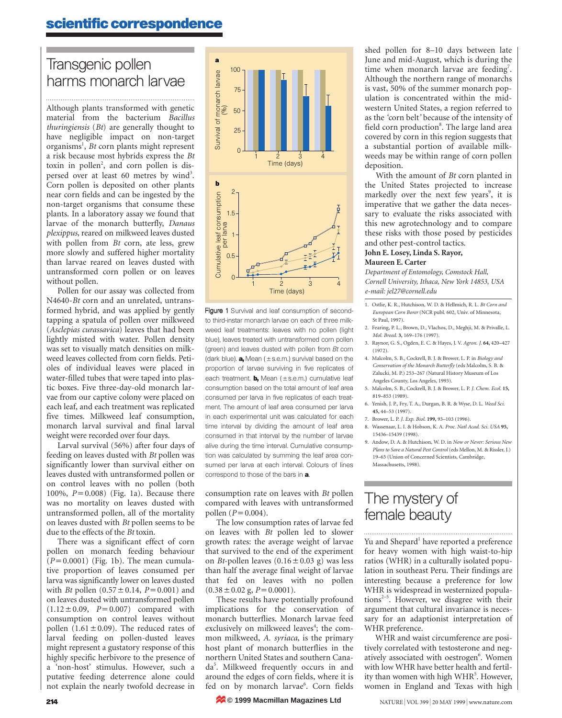### **scientific correspondence**

## Transgenic pollen harms monarch larvae

Although plants transformed with genetic material from the bacterium *Bacillus thuringiensis* (*Bt*) are generally thought to have negligible impact on non-target organisms<sup>1</sup>, *Bt* corn plants might represent a risk because most hybrids express the *Bt* toxin in pollen<sup>2</sup>, and corn pollen is dispersed over at least 60 metres by wind<sup>3</sup>. Corn pollen is deposited on other plants near corn fields and can be ingested by the non-target organisms that consume these plants. In a laboratory assay we found that larvae of the monarch butterfly, *Danaus plexippus*, reared on milkweed leaves dusted with pollen from *Bt* corn, ate less, grew more slowly and suffered higher mortality than larvae reared on leaves dusted with untransformed corn pollen or on leaves without pollen.

Pollen for our assay was collected from N4640-*Bt* corn and an unrelated, untransformed hybrid, and was applied by gently tapping a spatula of pollen over milkweed (*Asclepias curassavica*) leaves that had been lightly misted with water. Pollen density was set to visually match densities on milkweed leaves collected from corn fields. Petioles of individual leaves were placed in water-filled tubes that were taped into plastic boxes. Five three-day-old monarch larvae from our captive colony were placed on each leaf, and each treatment was replicated five times. Milkweed leaf consumption, monarch larval survival and final larval weight were recorded over four days.

Larval survival (56%) after four days of feeding on leaves dusted with *Bt* pollen was significantly lower than survival either on leaves dusted with untransformed pollen or on control leaves with no pollen (both 100%,  $P = 0.008$ ) (Fig. 1a). Because there was no mortality on leaves dusted with untransformed pollen, all of the mortality on leaves dusted with *Bt* pollen seems to be due to the effects of the *Bt* toxin.

There was a significant effect of corn pollen on monarch feeding behaviour  $(P=0.0001)$  (Fig. 1b). The mean cumulative proportion of leaves consumed per larva was significantly lower on leaves dusted with *Bt* pollen  $(0.57 \pm 0.14, P = 0.001)$  and on leaves dusted with untransformed pollen  $(1.12 \pm 0.09, P = 0.007)$  compared with consumption on control leaves without pollen  $(1.61 \pm 0.09)$ . The reduced rates of larval feeding on pollen-dusted leaves might represent a gustatory response of this highly specific herbivore to the presence of a 'non-host' stimulus. However, such a putative feeding deterrence alone could not explain the nearly twofold decrease in



Figure 1 Survival and leaf consumption of secondto third-instar monarch larvae on each of three milkweed leaf treatments: leaves with no pollen (light blue), leaves treated with untransformed corn pollen (green) and leaves dusted with pollen from Bt corn (dark blue).  $a$ , Mean ( $\pm$ s.e.m.) survival based on the proportion of larvae surviving in five replicates of each treatment. **b,** Mean  $(\pm s.e.m.)$  cumulative leaf consumption based on the total amount of leaf area consumed per larva in five replicates of each treatment. The amount of leaf area consumed per larva in each experimental unit was calculated for each time interval by dividing the amount of leaf area consumed in that interval by the number of larvae alive during the time interval. Cumulative consumption was calculated by summing the leaf area consumed per larva at each interval. Colours of lines correspond to those of the bars in **a**.

consumption rate on leaves with *Bt* pollen compared with leaves with untransformed pollen  $(P=0.004)$ .

The low consumption rates of larvae fed on leaves with *Bt* pollen led to slower growth rates: the average weight of larvae that survived to the end of the experiment on *Bt*-pollen leaves  $(0.16 \pm 0.03 \text{ g})$  was less than half the average final weight of larvae that fed on leaves with no pollen  $(0.38 \pm 0.02 \text{ g}, P=0.0001).$ 

These results have potentially profound implications for the conservation of monarch butterflies. Monarch larvae feed exclusively on milkweed leaves<sup>4</sup>; the common milkweed, *A. syriaca*, is the primary host plant of monarch butterflies in the northern United States and southern Canada<sup>5</sup>. Milkweed frequently occurs in and around the edges of corn fields, where it is fed on by monarch larvae 6 . Corn fields

#### **© 1999 Macmillan Magazines Ltd 214 214 214 214 214 21999 Macmillan Magazines Ltd NATURE | VOL 399 | 20 MAY 1999 | www.nature.com**

shed pollen for 8–10 days between late June and mid-August, which is during the time when monarch larvae are feeding<sup>7</sup>. Although the northern range of monarchs is vast, 50% of the summer monarch population is concentrated within the midwestern United States, a region referred to as the *'*corn belt*'* because of the intensity of field corn production<sup>8</sup>. The large land area covered by corn in this region suggests that a substantial portion of available milkweeds may be within range of corn pollen deposition.

With the amount of *Bt* corn planted in the United States projected to increase markedly over the next few years<sup>9</sup>, it is imperative that we gather the data necessary to evaluate the risks associated with this new agrotechnology and to compare these risks with those posed by pesticides and other pest-control tactics.

#### **John E. Losey, Linda S. Rayor, Maureen E. Carter**

*Department of Entomology, Comstock Hall, Cornell University, Ithaca, New York 14853, USA e-mail: jel27@cornell.edu*

- 1. Ostlie, K. R., Hutchison, W. D. & Hellmich, R. L. *Bt Corn and European Corn Borer* (NCR publ. 602, Univ. of Minnesota, St Paul, 1997).
- 2. Fearing, P. L., Brown, D., Vlachos, D., Meghji, M. & Privalle, L. *Mol. Breed.* **3,** 169–176 (1997).
- 3. Raynor, G. S., Ogden, E. C. & Hayes, J. V. *Agron. J.* **64,** 420–427 (1972).
- 4. Malcolm, S. B., Cockrell, B. J. & Brower, L. P. in *Biology and Conservation of the Monarch Butterfly* (eds Malcolm, S. B. & Zalucki, M. P.) 253–267 (Natural History Museum of Los Angeles County, Los Angeles, 1993).
- 5. Malcolm, S. B., Cockrell, B. J. & Brower, L. P. *J. Chem. Ecol.* **15,** 819–853 (1989).
- 6. Yenish, J. P., Fry, T. A., Durgan, B. R. & Wyse, D. L. *Weed Sci.* **45,** 44–53 (1997).
- 7. Brower, L. P. *J. Exp. Biol.* **199,** 93–103 (1996).
- 8. Wassenaar, L. I. & Hobson, K. A. *Proc. Natl Acad. Sci. USA* **95,** 15436–15439 (1998).
- 9. Andow, D. A. & Hutchison, W. D. in *Now or Never: Serious New Plans to Save a Natural Pest Control* (eds Mellon, M. & Rissler, J.) 19–65 (Union of Concerned Scientists, Cambridge, Massachusetts, 1998).

# The mystery of female beauty

Yu and Shepard<sup>1</sup> have reported a preference for heavy women with high waist-to-hip ratios (WHR) in a culturally isolated population in southeast Peru. Their findings are interesting because a preference for low WHR is widespread in westernized populations<sup> $2-5$ </sup>. However, we disagree with their argument that cultural invariance is necessary for an adaptionist interpretation of WHR preference.

WHR and waist circumference are positively correlated with testosterone and negatively associated with oestrogen<sup>6</sup>. Women with low WHR have better health and fertility than women with high WHR<sup>5</sup>. However, women in England and Texas with high